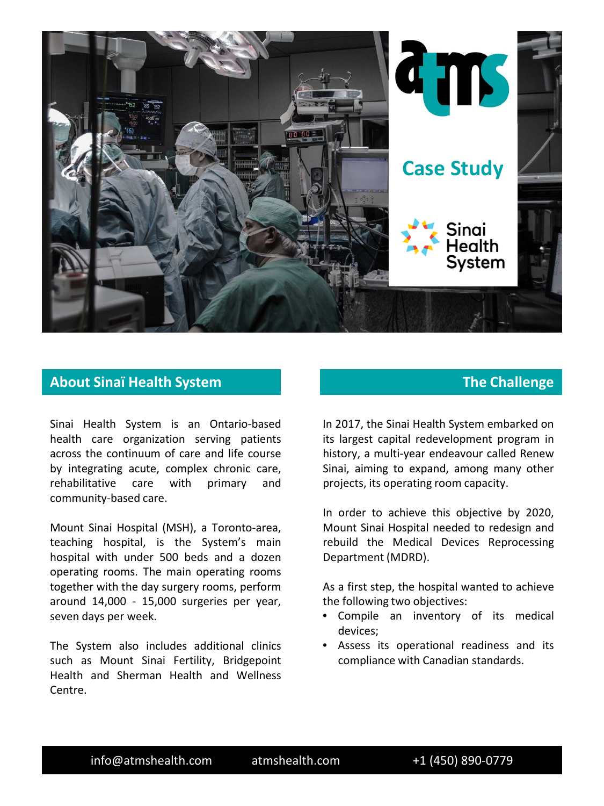

## **About Sinaï Health System The Challenge**

Sinai Health System is an Ontario-based health care organization serving patients across the continuum of care and life course by integrating acute, complex chronic care, rehabilitative care with primary and community-based care.

Mount Sinai Hospital (MSH), a Toronto-area, teaching hospital, is the System's main hospital with under 500 beds and a dozen operating rooms. The main operating rooms together with the day surgery rooms, perform around 14,000 - 15,000 surgeries per year, seven days per week.

The System also includes additional clinics such as Mount Sinai Fertility, Bridgepoint Health and Sherman Health and Wellness Centre.

In 2017, the Sinai Health System embarked on its largest capital redevelopment program in history, a multi-year endeavour called Renew Sinai, aiming to expand, among many other projects, its operating room capacity.

In order to achieve this objective by 2020, Mount Sinai Hospital needed to redesign and rebuild the Medical Devices Reprocessing Department (MDRD).

As a first step, the hospital wanted to achieve the following two objectives:

- Compile an inventory of its medical devices;
- Assess its operational readiness and its compliance with Canadian standards.